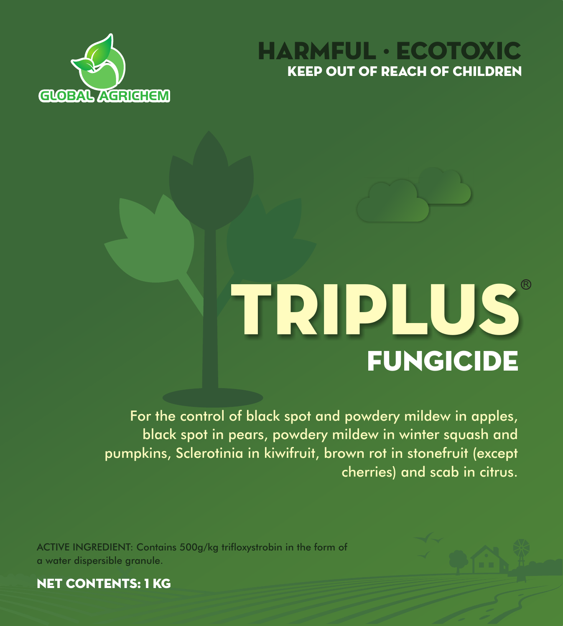



# FUNGICIDE TRIPLUS

For the control of black spot and powdery mildew in apples, black spot in pears, powdery mildew in winter squash and pumpkins, Sclerotinia in kiwifruit, brown rot in stonefruit (except cherries) and scab in citrus.

ACTIVE INGREDIENT: Contains 500g/kg trifloxystrobin in the form of a water dispersible granule.



NET CONTENTS: 1 KG